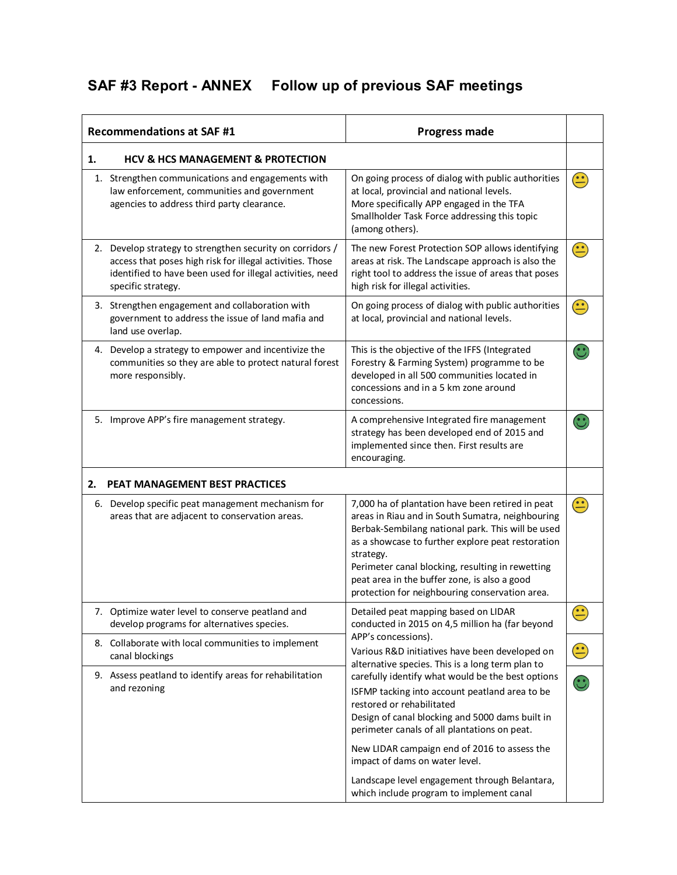## **SAF #3 Report - ANNEX Follow up of previous SAF meetings**

| <b>Recommendations at SAF #1</b><br><b>Progress made</b> |                                                                                                                                                                                                           |                                                                                                                                                                                                                                                                                                                                                                                   |                                                                                |
|----------------------------------------------------------|-----------------------------------------------------------------------------------------------------------------------------------------------------------------------------------------------------------|-----------------------------------------------------------------------------------------------------------------------------------------------------------------------------------------------------------------------------------------------------------------------------------------------------------------------------------------------------------------------------------|--------------------------------------------------------------------------------|
| 1.                                                       | <b>HCV &amp; HCS MANAGEMENT &amp; PROTECTION</b>                                                                                                                                                          |                                                                                                                                                                                                                                                                                                                                                                                   |                                                                                |
|                                                          | 1. Strengthen communications and engagements with<br>law enforcement, communities and government<br>agencies to address third party clearance.                                                            | On going process of dialog with public authorities<br>at local, provincial and national levels.<br>More specifically APP engaged in the TFA<br>Smallholder Task Force addressing this topic<br>(among others).                                                                                                                                                                    | $\left( \begin{matrix} \bullet \\ \bullet \end{matrix} \right)$                |
|                                                          | 2. Develop strategy to strengthen security on corridors /<br>access that poses high risk for illegal activities. Those<br>identified to have been used for illegal activities, need<br>specific strategy. | The new Forest Protection SOP allows identifying<br>areas at risk. The Landscape approach is also the<br>right tool to address the issue of areas that poses<br>high risk for illegal activities.                                                                                                                                                                                 | $\left(\stackrel{\scriptscriptstyle\bullet}{\scriptscriptstyle\bullet}\right)$ |
|                                                          | 3. Strengthen engagement and collaboration with<br>government to address the issue of land mafia and<br>land use overlap.                                                                                 | On going process of dialog with public authorities<br>at local, provincial and national levels.                                                                                                                                                                                                                                                                                   | $\hat{\mathbf{c}}$                                                             |
|                                                          | 4. Develop a strategy to empower and incentivize the<br>communities so they are able to protect natural forest<br>more responsibly.                                                                       | This is the objective of the IFFS (Integrated<br>Forestry & Farming System) programme to be<br>developed in all 500 communities located in<br>concessions and in a 5 km zone around<br>concessions.                                                                                                                                                                               |                                                                                |
|                                                          | 5. Improve APP's fire management strategy.                                                                                                                                                                | A comprehensive Integrated fire management<br>strategy has been developed end of 2015 and<br>implemented since then. First results are<br>encouraging.                                                                                                                                                                                                                            |                                                                                |
| 2.                                                       | PEAT MANAGEMENT BEST PRACTICES                                                                                                                                                                            |                                                                                                                                                                                                                                                                                                                                                                                   |                                                                                |
|                                                          | 6. Develop specific peat management mechanism for<br>areas that are adjacent to conservation areas.                                                                                                       | 7,000 ha of plantation have been retired in peat<br>areas in Riau and in South Sumatra, neighbouring<br>Berbak-Sembilang national park. This will be used<br>as a showcase to further explore peat restoration<br>strategy.<br>Perimeter canal blocking, resulting in rewetting<br>peat area in the buffer zone, is also a good<br>protection for neighbouring conservation area. | $\left(\frac{\cdot}{\cdot}\right)$                                             |
|                                                          | 7. Optimize water level to conserve peatland and<br>develop programs for alternatives species.                                                                                                            | Detailed peat mapping based on LIDAR<br>conducted in 2015 on 4,5 million ha (far beyond                                                                                                                                                                                                                                                                                           | $\bigodot$                                                                     |
|                                                          | 8. Collaborate with local communities to implement<br>canal blockings                                                                                                                                     | APP's concessions).<br>Various R&D initiatives have been developed on<br>alternative species. This is a long term plan to                                                                                                                                                                                                                                                         | $\bigodot$                                                                     |
|                                                          | 9. Assess peatland to identify areas for rehabilitation<br>and rezoning                                                                                                                                   | carefully identify what would be the best options<br>ISFMP tacking into account peatland area to be<br>restored or rehabilitated<br>Design of canal blocking and 5000 dams built in<br>perimeter canals of all plantations on peat.                                                                                                                                               | $\mathbf{\hat{c}}$                                                             |
|                                                          |                                                                                                                                                                                                           | New LIDAR campaign end of 2016 to assess the<br>impact of dams on water level.                                                                                                                                                                                                                                                                                                    |                                                                                |
|                                                          |                                                                                                                                                                                                           | Landscape level engagement through Belantara,<br>which include program to implement canal                                                                                                                                                                                                                                                                                         |                                                                                |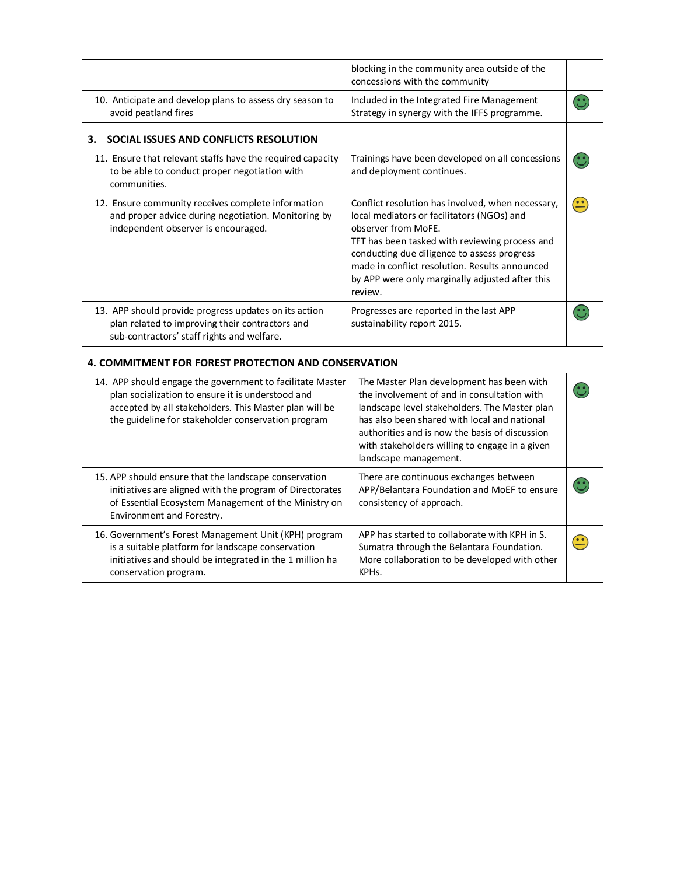|                                                                                                                                                                                                                                | blocking in the community area outside of the<br>concessions with the community                                                                                                                                                                                                                                                         |             |
|--------------------------------------------------------------------------------------------------------------------------------------------------------------------------------------------------------------------------------|-----------------------------------------------------------------------------------------------------------------------------------------------------------------------------------------------------------------------------------------------------------------------------------------------------------------------------------------|-------------|
| 10. Anticipate and develop plans to assess dry season to<br>avoid peatland fires                                                                                                                                               | Included in the Integrated Fire Management<br>Strategy in synergy with the IFFS programme.                                                                                                                                                                                                                                              |             |
| SOCIAL ISSUES AND CONFLICTS RESOLUTION<br>з.                                                                                                                                                                                   |                                                                                                                                                                                                                                                                                                                                         |             |
| 11. Ensure that relevant staffs have the required capacity<br>to be able to conduct proper negotiation with<br>communities.                                                                                                    | Trainings have been developed on all concessions<br>and deployment continues.                                                                                                                                                                                                                                                           |             |
| 12. Ensure community receives complete information<br>and proper advice during negotiation. Monitoring by<br>independent observer is encouraged.                                                                               | Conflict resolution has involved, when necessary,<br>local mediators or facilitators (NGOs) and<br>observer from MoFE.<br>TFT has been tasked with reviewing process and<br>conducting due diligence to assess progress<br>made in conflict resolution. Results announced<br>by APP were only marginally adjusted after this<br>review. | $\bigoplus$ |
| 13. APP should provide progress updates on its action<br>plan related to improving their contractors and<br>sub-contractors' staff rights and welfare.                                                                         | Progresses are reported in the last APP<br>sustainability report 2015.                                                                                                                                                                                                                                                                  |             |
| 4. COMMITMENT FOR FOREST PROTECTION AND CONSERVATION                                                                                                                                                                           |                                                                                                                                                                                                                                                                                                                                         |             |
| 14. APP should engage the government to facilitate Master<br>plan socialization to ensure it is understood and<br>accepted by all stakeholders. This Master plan will be<br>the guideline for stakeholder conservation program | The Master Plan development has been with<br>the involvement of and in consultation with<br>landscape level stakeholders. The Master plan<br>has also been shared with local and national<br>authorities and is now the basis of discussion<br>with stakeholders willing to engage in a given<br>landscape management.                  |             |
| 15. APP should ensure that the landscape conservation<br>initiatives are aligned with the program of Directorates<br>of Essential Ecosystem Management of the Ministry on<br>Environment and Forestry.                         | There are continuous exchanges between<br>APP/Belantara Foundation and MoEF to ensure<br>consistency of approach.                                                                                                                                                                                                                       |             |
| 16. Government's Forest Management Unit (KPH) program<br>is a suitable platform for landscape conservation<br>initiatives and should be integrated in the 1 million ha<br>conservation program.                                | APP has started to collaborate with KPH in S.<br>Sumatra through the Belantara Foundation.<br>More collaboration to be developed with other<br>KPH <sub>s</sub> .                                                                                                                                                                       |             |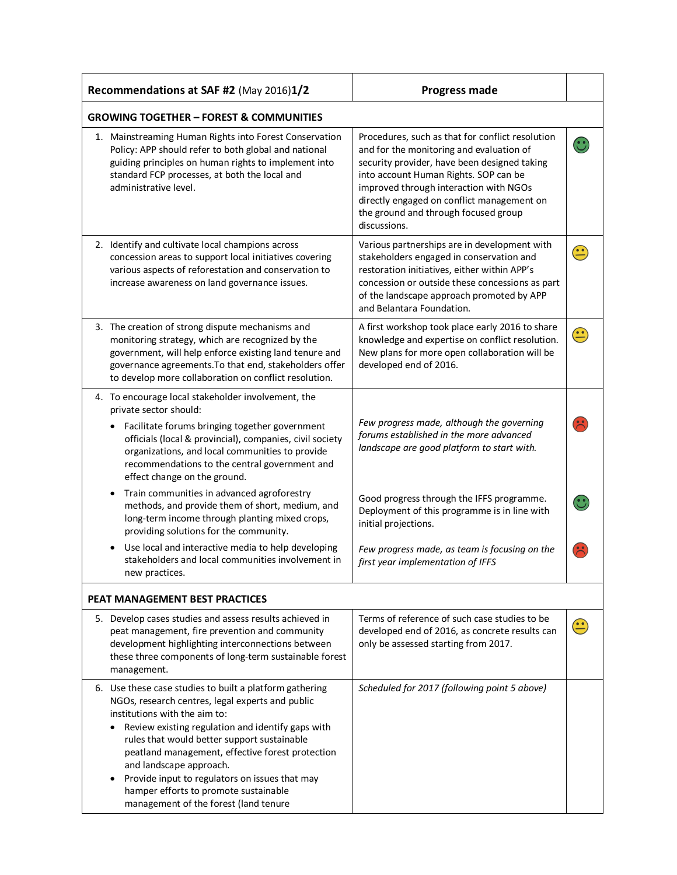| Recommendations at SAF #2 (May 2016)1/2                                                                                                                                                                                                                                                                                                                                                                                                                             | <b>Progress made</b>                                                                                                                                                                                                                                                                                                                  |             |  |  |
|---------------------------------------------------------------------------------------------------------------------------------------------------------------------------------------------------------------------------------------------------------------------------------------------------------------------------------------------------------------------------------------------------------------------------------------------------------------------|---------------------------------------------------------------------------------------------------------------------------------------------------------------------------------------------------------------------------------------------------------------------------------------------------------------------------------------|-------------|--|--|
| <b>GROWING TOGETHER - FOREST &amp; COMMUNITIES</b>                                                                                                                                                                                                                                                                                                                                                                                                                  |                                                                                                                                                                                                                                                                                                                                       |             |  |  |
| 1. Mainstreaming Human Rights into Forest Conservation<br>Policy: APP should refer to both global and national<br>guiding principles on human rights to implement into<br>standard FCP processes, at both the local and<br>administrative level.                                                                                                                                                                                                                    | Procedures, such as that for conflict resolution<br>and for the monitoring and evaluation of<br>security provider, have been designed taking<br>into account Human Rights. SOP can be<br>improved through interaction with NGOs<br>directly engaged on conflict management on<br>the ground and through focused group<br>discussions. |             |  |  |
| 2. Identify and cultivate local champions across<br>concession areas to support local initiatives covering<br>various aspects of reforestation and conservation to<br>increase awareness on land governance issues.                                                                                                                                                                                                                                                 | Various partnerships are in development with<br>stakeholders engaged in conservation and<br>restoration initiatives, either within APP's<br>concession or outside these concessions as part<br>of the landscape approach promoted by APP<br>and Belantara Foundation.                                                                 |             |  |  |
| 3. The creation of strong dispute mechanisms and<br>monitoring strategy, which are recognized by the<br>government, will help enforce existing land tenure and<br>governance agreements. To that end, stakeholders offer<br>to develop more collaboration on conflict resolution.                                                                                                                                                                                   | A first workshop took place early 2016 to share<br>knowledge and expertise on conflict resolution.<br>New plans for more open collaboration will be<br>developed end of 2016.                                                                                                                                                         |             |  |  |
| 4. To encourage local stakeholder involvement, the<br>private sector should:                                                                                                                                                                                                                                                                                                                                                                                        |                                                                                                                                                                                                                                                                                                                                       |             |  |  |
| Facilitate forums bringing together government<br>officials (local & provincial), companies, civil society<br>organizations, and local communities to provide<br>recommendations to the central government and<br>effect change on the ground.                                                                                                                                                                                                                      | Few progress made, although the governing<br>forums established in the more advanced<br>landscape are good platform to start with.                                                                                                                                                                                                    |             |  |  |
| Train communities in advanced agroforestry<br>methods, and provide them of short, medium, and<br>long-term income through planting mixed crops,<br>providing solutions for the community.                                                                                                                                                                                                                                                                           | Good progress through the IFFS programme.<br>Deployment of this programme is in line with<br>initial projections.                                                                                                                                                                                                                     |             |  |  |
| Use local and interactive media to help developing<br>stakeholders and local communities involvement in<br>new practices.                                                                                                                                                                                                                                                                                                                                           | Few progress made, as team is focusing on the<br>first year implementation of IFFS                                                                                                                                                                                                                                                    |             |  |  |
| PEAT MANAGEMENT BEST PRACTICES                                                                                                                                                                                                                                                                                                                                                                                                                                      |                                                                                                                                                                                                                                                                                                                                       |             |  |  |
| 5. Develop cases studies and assess results achieved in<br>peat management, fire prevention and community<br>development highlighting interconnections between<br>these three components of long-term sustainable forest<br>management.                                                                                                                                                                                                                             | Terms of reference of such case studies to be<br>developed end of 2016, as concrete results can<br>only be assessed starting from 2017.                                                                                                                                                                                               | $\bigoplus$ |  |  |
| 6. Use these case studies to built a platform gathering<br>NGOs, research centres, legal experts and public<br>institutions with the aim to:<br>Review existing regulation and identify gaps with<br>rules that would better support sustainable<br>peatland management, effective forest protection<br>and landscape approach.<br>Provide input to regulators on issues that may<br>hamper efforts to promote sustainable<br>management of the forest (land tenure | Scheduled for 2017 (following point 5 above)                                                                                                                                                                                                                                                                                          |             |  |  |